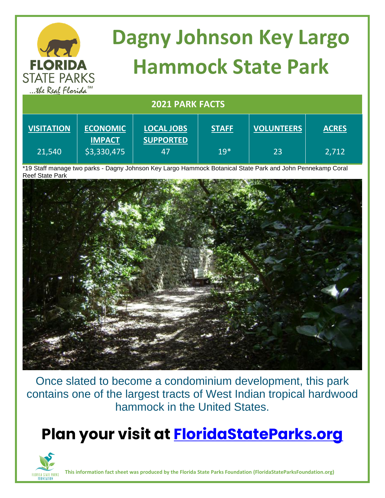

| <b>VIJHATIVN</b> | <b>LUUIVUIVIIU</b> | LUCAL JUDJ       | JIMI  | <b>VULUIVILLINJ</b> | <b>MUNLU</b> |
|------------------|--------------------|------------------|-------|---------------------|--------------|
|                  | <b>IMPACT</b>      | <b>SUPPORTED</b> |       |                     |              |
| 21,540           | \$3,330,475        |                  | $19*$ | 23                  | 2.712        |

\*19 Staff manage two parks - Dagny Johnson Key Largo Hammock Botanical State Park and John Pennekamp Coral Reef State Park



Once slated to become a condominium development, this park contains one of the largest tracts of West Indian tropical hardwood hammock in the United States.

## **Plan your visit at<FloridaStateParks.org>**



**This information fact sheet was produced by the Florida State Parks Foundation (FloridaStateParksFoundation.org)**